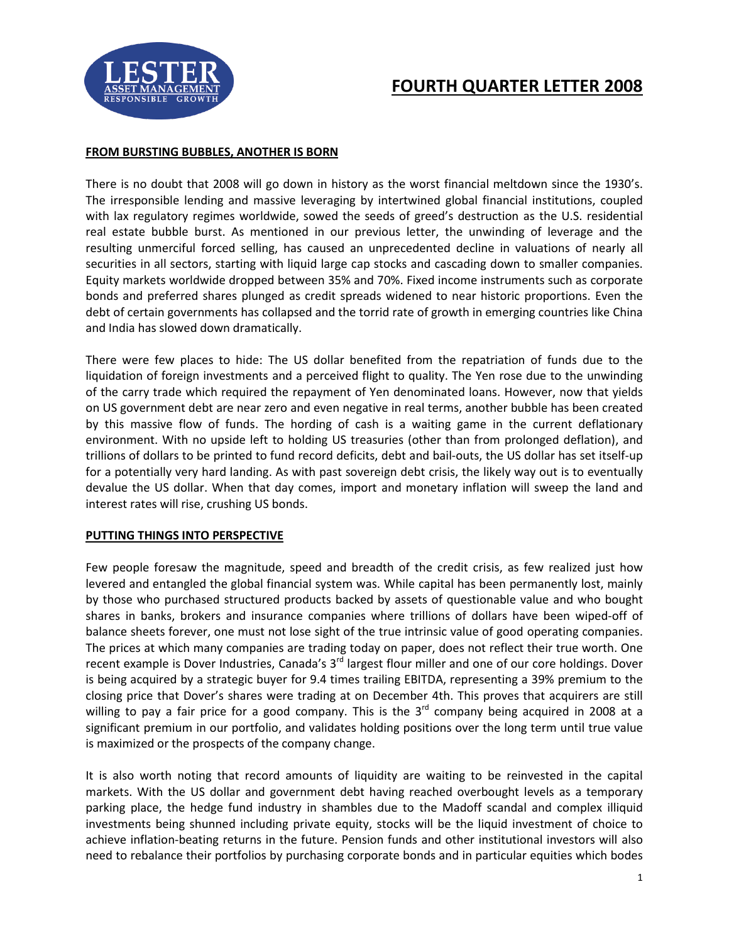

# **FOURTH QUARTER LETTER 2008**

#### **FROM BURSTING BUBBLES, ANOTHER IS BORN**

There is no doubt that 2008 will go down in history as the worst financial meltdown since the 1930's. The irresponsible lending and massive leveraging by intertwined global financial institutions, coupled with lax regulatory regimes worldwide, sowed the seeds of greed's destruction as the U.S. residential real estate bubble burst. As mentioned in our previous letter, the unwinding of leverage and the resulting unmerciful forced selling, has caused an unprecedented decline in valuations of nearly all securities in all sectors, starting with liquid large cap stocks and cascading down to smaller companies. Equity markets worldwide dropped between 35% and 70%. Fixed income instruments such as corporate bonds and preferred shares plunged as credit spreads widened to near historic proportions. Even the debt of certain governments has collapsed and the torrid rate of growth in emerging countries like China and India has slowed down dramatically.

There were few places to hide: The US dollar benefited from the repatriation of funds due to the liquidation of foreign investments and a perceived flight to quality. The Yen rose due to the unwinding of the carry trade which required the repayment of Yen denominated loans. However, now that yields on US government debt are near zero and even negative in real terms, another bubble has been created by this massive flow of funds. The hording of cash is a waiting game in the current deflationary environment. With no upside left to holding US treasuries (other than from prolonged deflation), and trillions of dollars to be printed to fund record deficits, debt and bail-outs, the US dollar has set itself-up for a potentially very hard landing. As with past sovereign debt crisis, the likely way out is to eventually devalue the US dollar. When that day comes, import and monetary inflation will sweep the land and interest rates will rise, crushing US bonds.

## **PUTTING THINGS INTO PERSPECTIVE**

Few people foresaw the magnitude, speed and breadth of the credit crisis, as few realized just how levered and entangled the global financial system was. While capital has been permanently lost, mainly by those who purchased structured products backed by assets of questionable value and who bought shares in banks, brokers and insurance companies where trillions of dollars have been wiped-off of balance sheets forever, one must not lose sight of the true intrinsic value of good operating companies. The prices at which many companies are trading today on paper, does not reflect their true worth. One recent example is Dover Industries, Canada's 3<sup>rd</sup> largest flour miller and one of our core holdings. Dover is being acquired by a strategic buyer for 9.4 times trailing EBITDA, representing a 39% premium to the closing price that Dover's shares were trading at on December 4th. This proves that acquirers are still willing to pay a fair price for a good company. This is the  $3<sup>rd</sup>$  company being acquired in 2008 at a significant premium in our portfolio, and validates holding positions over the long term until true value is maximized or the prospects of the company change.

It is also worth noting that record amounts of liquidity are waiting to be reinvested in the capital markets. With the US dollar and government debt having reached overbought levels as a temporary parking place, the hedge fund industry in shambles due to the Madoff scandal and complex illiquid investments being shunned including private equity, stocks will be the liquid investment of choice to achieve inflation-beating returns in the future. Pension funds and other institutional investors will also need to rebalance their portfolios by purchasing corporate bonds and in particular equities which bodes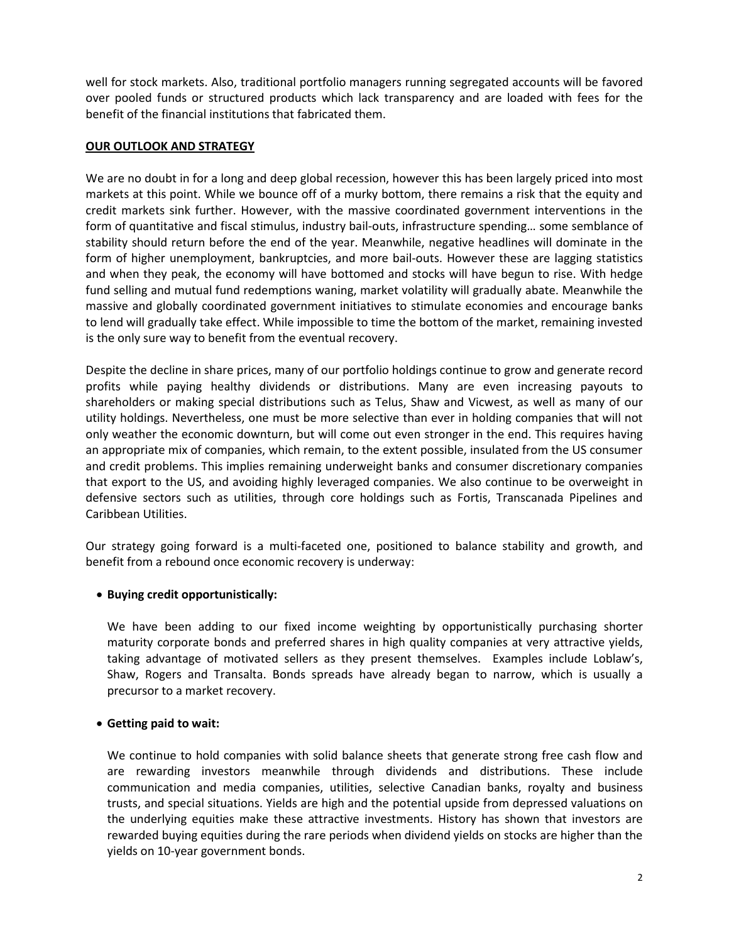well for stock markets. Also, traditional portfolio managers running segregated accounts will be favored over pooled funds or structured products which lack transparency and are loaded with fees for the benefit of the financial institutions that fabricated them.

#### **OUR OUTLOOK AND STRATEGY**

We are no doubt in for a long and deep global recession, however this has been largely priced into most markets at this point. While we bounce off of a murky bottom, there remains a risk that the equity and credit markets sink further. However, with the massive coordinated government interventions in the form of quantitative and fiscal stimulus, industry bail-outs, infrastructure spending… some semblance of stability should return before the end of the year. Meanwhile, negative headlines will dominate in the form of higher unemployment, bankruptcies, and more bail-outs. However these are lagging statistics and when they peak, the economy will have bottomed and stocks will have begun to rise. With hedge fund selling and mutual fund redemptions waning, market volatility will gradually abate. Meanwhile the massive and globally coordinated government initiatives to stimulate economies and encourage banks to lend will gradually take effect. While impossible to time the bottom of the market, remaining invested is the only sure way to benefit from the eventual recovery.

Despite the decline in share prices, many of our portfolio holdings continue to grow and generate record profits while paying healthy dividends or distributions. Many are even increasing payouts to shareholders or making special distributions such as Telus, Shaw and Vicwest, as well as many of our utility holdings. Nevertheless, one must be more selective than ever in holding companies that will not only weather the economic downturn, but will come out even stronger in the end. This requires having an appropriate mix of companies, which remain, to the extent possible, insulated from the US consumer and credit problems. This implies remaining underweight banks and consumer discretionary companies that export to the US, and avoiding highly leveraged companies. We also continue to be overweight in defensive sectors such as utilities, through core holdings such as Fortis, Transcanada Pipelines and Caribbean Utilities.

Our strategy going forward is a multi-faceted one, positioned to balance stability and growth, and benefit from a rebound once economic recovery is underway:

## **Buying credit opportunistically:**

We have been adding to our fixed income weighting by opportunistically purchasing shorter maturity corporate bonds and preferred shares in high quality companies at very attractive yields, taking advantage of motivated sellers as they present themselves. Examples include Loblaw's, Shaw, Rogers and Transalta. Bonds spreads have already began to narrow, which is usually a precursor to a market recovery.

## **Getting paid to wait:**

We continue to hold companies with solid balance sheets that generate strong free cash flow and are rewarding investors meanwhile through dividends and distributions. These include communication and media companies, utilities, selective Canadian banks, royalty and business trusts, and special situations. Yields are high and the potential upside from depressed valuations on the underlying equities make these attractive investments. History has shown that investors are rewarded buying equities during the rare periods when dividend yields on stocks are higher than the yields on 10-year government bonds.